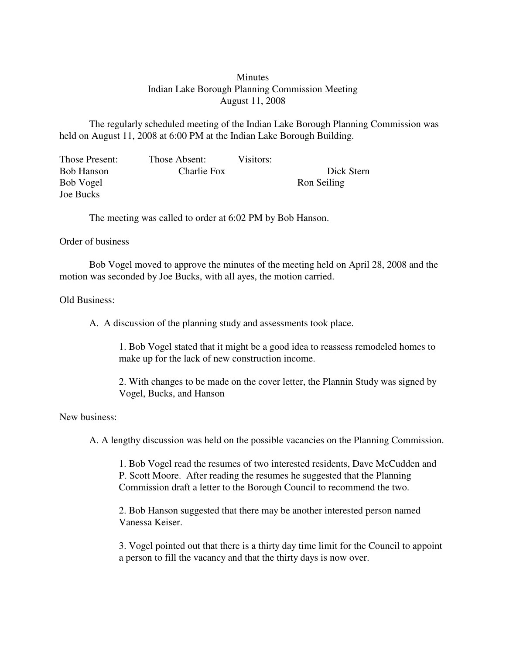## **Minutes** Indian Lake Borough Planning Commission Meeting August 11, 2008

The regularly scheduled meeting of the Indian Lake Borough Planning Commission was held on August 11, 2008 at 6:00 PM at the Indian Lake Borough Building.

| Those Present:    | Those Absent: | Visitors: |             |
|-------------------|---------------|-----------|-------------|
| <b>Bob Hanson</b> | Charlie Fox   |           | Dick Stern  |
| Bob Vogel         |               |           | Ron Seiling |
| Joe Bucks         |               |           |             |

The meeting was called to order at 6:02 PM by Bob Hanson.

## Order of business

Bob Vogel moved to approve the minutes of the meeting held on April 28, 2008 and the motion was seconded by Joe Bucks, with all ayes, the motion carried.

## Old Business:

A. A discussion of the planning study and assessments took place.

1. Bob Vogel stated that it might be a good idea to reassess remodeled homes to make up for the lack of new construction income.

2. With changes to be made on the cover letter, the Plannin Study was signed by Vogel, Bucks, and Hanson

## New business:

A. A lengthy discussion was held on the possible vacancies on the Planning Commission.

1. Bob Vogel read the resumes of two interested residents, Dave McCudden and P. Scott Moore. After reading the resumes he suggested that the Planning Commission draft a letter to the Borough Council to recommend the two.

2. Bob Hanson suggested that there may be another interested person named Vanessa Keiser.

3. Vogel pointed out that there is a thirty day time limit for the Council to appoint a person to fill the vacancy and that the thirty days is now over.